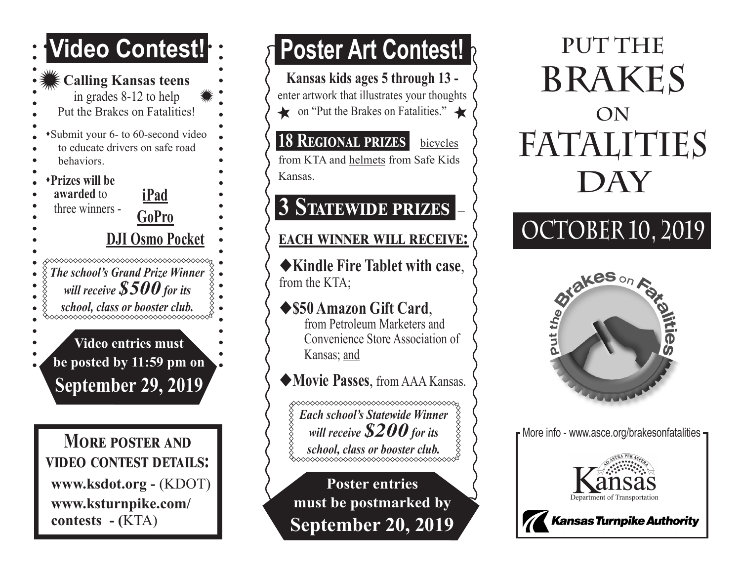### **Video Contest!**

#### **Calling Kansas teens** in grades 8-12 to help Put the Brakes on Fatalities! \*Submit your 6- to 60-second video to educate drivers on safe road behaviors. s**Prizes will be awarded** to **iPad** three winners - **GoPro DJI Osmo Pocket** ∞∞∞∞∞∞∞∞∞∞∞∞∞∞∞∞∞∞∞∞∞∞∞∞∞∞∞∞∞ *The school's Grand Prize Winner will receive \$500 for its school, class or booster club.* **Video entries must be posted by 11:59 pm on September 29, 2019**

**More poster and video contest details: www.ksdot.org -** (KDOT) **www.ksturnpike.com/ contests - (**KTA)

Ī

## **Poster Art Contest!**

**Kansas kids ages 5 through 13**  enter artwork that illustrates your thoughts on "Put the Brakes on Fatalities."

### **18 Regional prizes** – bicycles

from KTA and helmets from Safe Kids Kansas.

### **3 Statewide prizes** –

#### **each winner will receive:**

◆Kindle Fire Tablet with case, from the KTA;

#### u**\$50 Amazon Gift Card**, from Petroleum Marketers and

Convenience Store Association of Kansas; and

### u**Movie Passes**, from AAA Kansas.

**◇◇◇◇◇◇◇◇◇◇◇◇◇◇◇◇◇◇◇◇◇◇◇◇◇◇◇◇◇◇◇◇◇**◇ *Each school's Statewide Winner will receive \$200 for its school, class or booster club.*

**Poster entries must be postmarked by September 20, 2019**

## **PUT THE BRAKES ON FATALITIES DAY**

# **OCTOBER 10, 2019**



F More info - www.asce.org/brakesonfatalities -